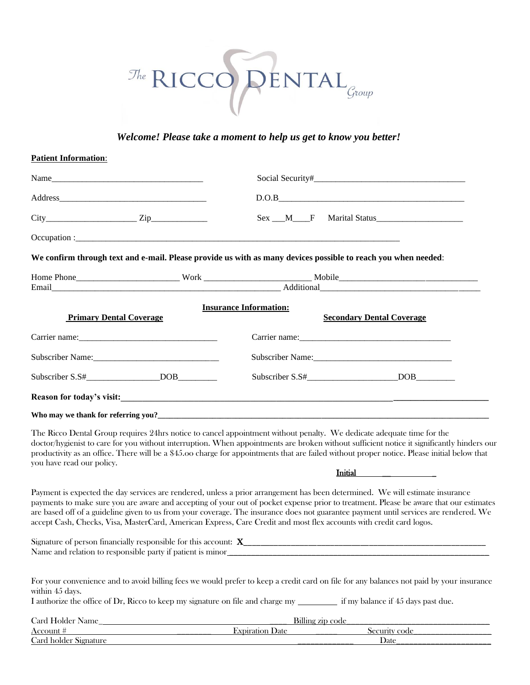# $\begin{picture}(180,10) \put(0,0){\line(1,0){10}} \put(15,0){\line(1,0){10}} \put(15,0){\line(1,0){10}} \put(15,0){\line(1,0){10}} \put(15,0){\line(1,0){10}} \put(15,0){\line(1,0){10}} \put(15,0){\line(1,0){10}} \put(15,0){\line(1,0){10}} \put(15,0){\line(1,0){10}} \put(15,0){\line(1,0){10}} \put(15,0){\line(1,0){10}} \put(15,0){\line($

## *Welcome! Please take a moment to help us get to know you better!*

### **Patient Information**:

|                                | Address             |                                                                                                                               | $D.O.B$                                                                                                                                                                                                                                                                                              |
|--------------------------------|---------------------|-------------------------------------------------------------------------------------------------------------------------------|------------------------------------------------------------------------------------------------------------------------------------------------------------------------------------------------------------------------------------------------------------------------------------------------------|
|                                | $City$ $Zip$        |                                                                                                                               | Sex __M___F Marital Status______________________                                                                                                                                                                                                                                                     |
|                                |                     |                                                                                                                               |                                                                                                                                                                                                                                                                                                      |
|                                |                     | We confirm through text and e-mail. Please provide us with as many devices possible to reach you when needed:                 |                                                                                                                                                                                                                                                                                                      |
|                                |                     |                                                                                                                               |                                                                                                                                                                                                                                                                                                      |
|                                |                     |                                                                                                                               |                                                                                                                                                                                                                                                                                                      |
|                                |                     | <b>Insurance Information:</b>                                                                                                 |                                                                                                                                                                                                                                                                                                      |
| <b>Primary Dental Coverage</b> |                     |                                                                                                                               | <b>Secondary Dental Coverage</b>                                                                                                                                                                                                                                                                     |
|                                |                     |                                                                                                                               |                                                                                                                                                                                                                                                                                                      |
|                                |                     |                                                                                                                               |                                                                                                                                                                                                                                                                                                      |
|                                | Subscriber S.S# DOB |                                                                                                                               |                                                                                                                                                                                                                                                                                                      |
|                                |                     |                                                                                                                               |                                                                                                                                                                                                                                                                                                      |
|                                |                     |                                                                                                                               |                                                                                                                                                                                                                                                                                                      |
| you have read our policy.      |                     | The Ricco Dental Group requires 24hrs notice to cancel appointment without penalty. We dedicate adequate time for the         | doctor/hygienist to care for you without interruption. When appointments are broken without sufficient notice it significantly hinders our<br>productivity as an office. There will be a \$45.00 charge for appointments that are failed without proper notice. Please initial below that<br>Initial |
|                                |                     | Payment is expected the day services are rendered, unless a prior arrangement has been determined. We will estimate insurance |                                                                                                                                                                                                                                                                                                      |
|                                |                     |                                                                                                                               | payments to make sure you are aware and accepting of your out of pocket expense prior to treatment. Please be aware that our estimates                                                                                                                                                               |

payments to make sure you are aware and accepting of your out of pocket expense prior to treatment. Please be aware that our estimates are based off of a guideline given to us from your coverage. The insurance does not guarantee payment until services are rendered. We accept Cash, Checks, Visa, MasterCard, American Express, Care Credit and most flex accounts with credit card logos.

| $\sim$<br>Signal<br>acially<br>: for<br>cesponsible<br>ners<br>nıs<br>ΩT<br>-- |
|--------------------------------------------------------------------------------|
| Name<br>relation<br>ano<br>rect<br>isinie<br>`snon<br>DAFIV<br>111 L C         |

| For your convenience and to avoid billing fees we would prefer to keep a credit card on file for any balances not paid by your insurance |                                    |
|------------------------------------------------------------------------------------------------------------------------------------------|------------------------------------|
| within 45 days.                                                                                                                          |                                    |
| I authorize the office of Dr, Ricco to keep my signature on file and charge my                                                           | if my balance if 45 days past due. |
| Card Holder Name                                                                                                                         | Billing zip code                   |

| $\alpha$ - $\alpha$ - $\alpha$ - $\alpha$ - $\alpha$ - $\alpha$ - $\alpha$ - $\alpha$ - $\alpha$ - $\alpha$ - $\alpha$ - $\alpha$ - $\alpha$ - $\alpha$ - $\alpha$ - $\alpha$<br>$\overline{\phantom{a}}$ | _____           | <b>Dimits Lip code</b>            |  |  |  |  |
|-----------------------------------------------------------------------------------------------------------------------------------------------------------------------------------------------------------|-----------------|-----------------------------------|--|--|--|--|
|                                                                                                                                                                                                           | Jate            | ∽ode                              |  |  |  |  |
| $\sim$<br>$.\arctan$<br>əlder<br>"919.<br>17U                                                                                                                                                             | _______________ | Date<br>_________________________ |  |  |  |  |
|                                                                                                                                                                                                           |                 |                                   |  |  |  |  |